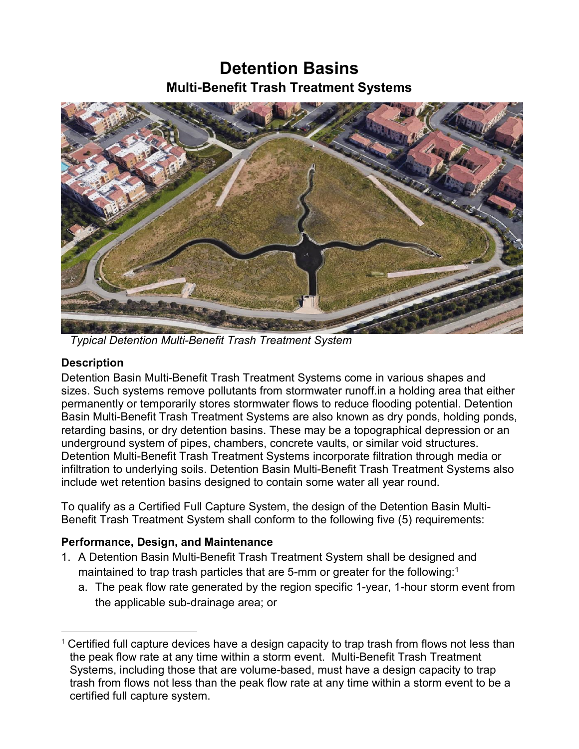## **Detention Basins Multi-Benefit Trash Treatment Systems**



 *Typical Detention Multi-Benefit Trash Treatment System*

## **Description**

Detention Basin Multi-Benefit Trash Treatment Systems come in various shapes and sizes. Such systems remove pollutants from stormwater runoff.in a holding area that either permanently or temporarily stores stormwater flows to reduce flooding potential. Detention Basin Multi-Benefit Trash Treatment Systems are also known as dry ponds, holding ponds, retarding basins, or dry detention basins. These may be a topographical depression or an underground system of pipes, chambers, concrete vaults, or similar void structures. Detention Multi-Benefit Trash Treatment Systems incorporate filtration through media or infiltration to underlying soils. Detention Basin Multi-Benefit Trash Treatment Systems also include wet retention basins designed to contain some water all year round.

To qualify as a Certified Full Capture System, the design of the Detention Basin Multi-Benefit Trash Treatment System shall conform to the following five (5) requirements:

## **Performance, Design, and Maintenance**

- 1. A Detention Basin Multi-Benefit Trash Treatment System shall be designed and maintained to trap trash particles that are 5-mm or greater for the following:<sup>[1](#page-0-0)</sup>
	- a. The peak flow rate generated by the region specific 1-year, 1-hour storm event from the applicable sub-drainage area; or

<span id="page-0-0"></span> $\overline{a}$  $1$  Certified full capture devices have a design capacity to trap trash from flows not less than the peak flow rate at any time within a storm event. Multi-Benefit Trash Treatment Systems, including those that are volume-based, must have a design capacity to trap trash from flows not less than the peak flow rate at any time within a storm event to be a certified full capture system.